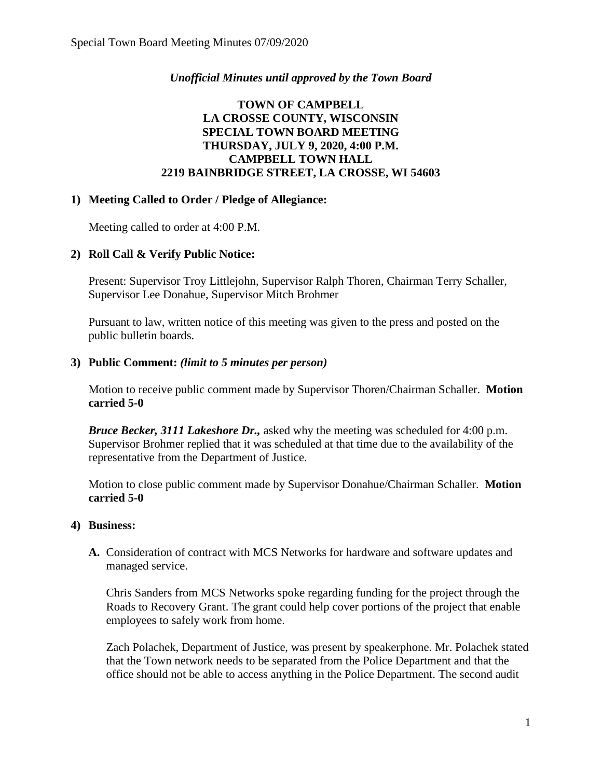### *Unofficial Minutes until approved by the Town Board*

## **TOWN OF CAMPBELL LA CROSSE COUNTY, WISCONSIN SPECIAL TOWN BOARD MEETING THURSDAY, JULY 9, 2020, 4:00 P.M. CAMPBELL TOWN HALL 2219 BAINBRIDGE STREET, LA CROSSE, WI 54603**

### **1) Meeting Called to Order / Pledge of Allegiance:**

Meeting called to order at 4:00 P.M.

# **2) Roll Call & Verify Public Notice:**

Present: Supervisor Troy Littlejohn, Supervisor Ralph Thoren, Chairman Terry Schaller, Supervisor Lee Donahue, Supervisor Mitch Brohmer

Pursuant to law, written notice of this meeting was given to the press and posted on the public bulletin boards.

#### **3) Public Comment:** *(limit to 5 minutes per person)*

Motion to receive public comment made by Supervisor Thoren/Chairman Schaller. **Motion carried 5-0**

*Bruce Becker, 3111 Lakeshore Dr.,* asked why the meeting was scheduled for 4:00 p.m. Supervisor Brohmer replied that it was scheduled at that time due to the availability of the representative from the Department of Justice.

Motion to close public comment made by Supervisor Donahue/Chairman Schaller. **Motion carried 5-0**

#### **4) Business:**

**A.** Consideration of contract with MCS Networks for hardware and software updates and managed service.

Chris Sanders from MCS Networks spoke regarding funding for the project through the Roads to Recovery Grant. The grant could help cover portions of the project that enable employees to safely work from home.

Zach Polachek, Department of Justice, was present by speakerphone. Mr. Polachek stated that the Town network needs to be separated from the Police Department and that the office should not be able to access anything in the Police Department. The second audit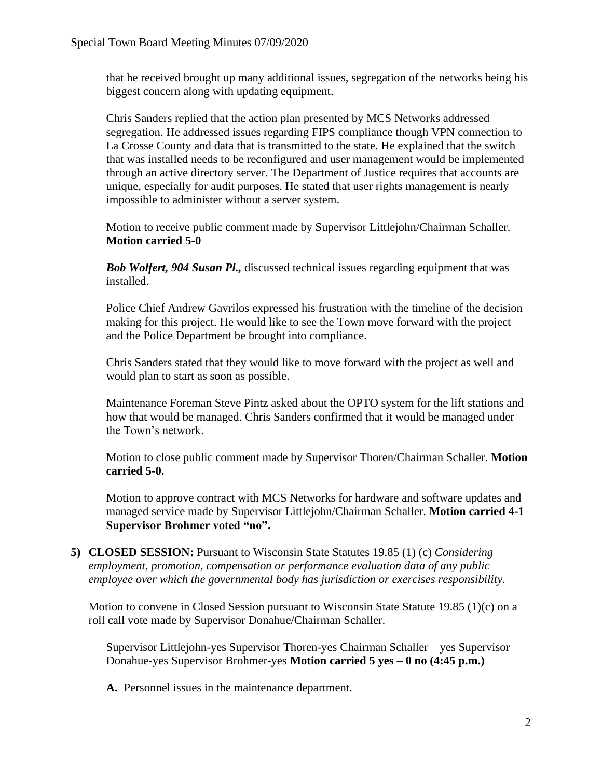that he received brought up many additional issues, segregation of the networks being his biggest concern along with updating equipment.

Chris Sanders replied that the action plan presented by MCS Networks addressed segregation. He addressed issues regarding FIPS compliance though VPN connection to La Crosse County and data that is transmitted to the state. He explained that the switch that was installed needs to be reconfigured and user management would be implemented through an active directory server. The Department of Justice requires that accounts are unique, especially for audit purposes. He stated that user rights management is nearly impossible to administer without a server system.

Motion to receive public comment made by Supervisor Littlejohn/Chairman Schaller. **Motion carried 5-0**

*Bob Wolfert, 904 Susan Pl.,* discussed technical issues regarding equipment that was installed.

Police Chief Andrew Gavrilos expressed his frustration with the timeline of the decision making for this project. He would like to see the Town move forward with the project and the Police Department be brought into compliance.

Chris Sanders stated that they would like to move forward with the project as well and would plan to start as soon as possible.

Maintenance Foreman Steve Pintz asked about the OPTO system for the lift stations and how that would be managed. Chris Sanders confirmed that it would be managed under the Town's network.

Motion to close public comment made by Supervisor Thoren/Chairman Schaller. **Motion carried 5-0.** 

Motion to approve contract with MCS Networks for hardware and software updates and managed service made by Supervisor Littlejohn/Chairman Schaller. **Motion carried 4-1 Supervisor Brohmer voted "no".**

**5) CLOSED SESSION:** Pursuant to Wisconsin State Statutes 19.85 (1) (c) *Considering employment, promotion, compensation or performance evaluation data of any public employee over which the governmental body has jurisdiction or exercises responsibility.*

Motion to convene in Closed Session pursuant to Wisconsin State Statute 19.85  $(1)(c)$  on a roll call vote made by Supervisor Donahue/Chairman Schaller.

Supervisor Littlejohn-yes Supervisor Thoren-yes Chairman Schaller – yes Supervisor Donahue-yes Supervisor Brohmer-yes **Motion carried 5 yes – 0 no (4:45 p.m.)**

**A.** Personnel issues in the maintenance department.